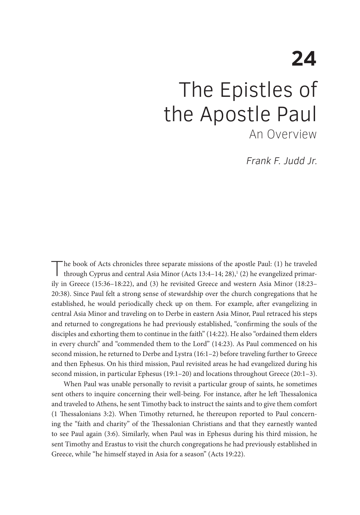# **24** The Epistles of the Apostle Paul An Overview

Frank F. Judd Jr.

The book of Acts chronicles three separate missions of the apostle Paul: (1) he traveled through Cyprus and central Asia Minor (Acts 13:4–14; 28),<sup>1</sup> (2) he evangelized primarily in Greece (15:36–18:22), and (3) he revisited Greece and western Asia Minor (18:23– 20:38). Since Paul felt a strong sense of stewardship over the church congregations that he established, he would periodically check up on them. For example, after evangelizing in central Asia Minor and traveling on to Derbe in eastern Asia Minor, Paul retraced his steps and returned to congregations he had previously established, "confirming the souls of the disciples and exhorting them to continue in the faith" (14:22). He also "ordained them elders in every church" and "commended them to the Lord" (14:23). As Paul commenced on his second mission, he returned to Derbe and Lystra (16:1–2) before traveling further to Greece and then Ephesus. On his third mission, Paul revisited areas he had evangelized during his second mission, in particular Ephesus (19:1–20) and locations throughout Greece (20:1–3).

When Paul was unable personally to revisit a particular group of saints, he sometimes sent others to inquire concerning their well-being. For instance, after he left Thessalonica and traveled to Athens, he sent Timothy back to instruct the saints and to give them comfort (1 Thessalonians 3:2). When Timothy returned, he thereupon reported to Paul concerning the "faith and charity" of the Thessalonian Christians and that they earnestly wanted to see Paul again (3:6). Similarly, when Paul was in Ephesus during his third mission, he sent Timothy and Erastus to visit the church congregations he had previously established in Greece, while "he himself stayed in Asia for a season" (Acts 19:22).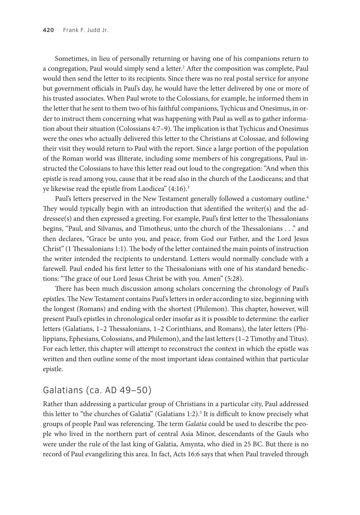Sometimes, in lieu of personally returning or having one of his companions return to a congregation, Paul would simply send a letter.<sup>2</sup> After the composition was complete, Paul would then send the letter to its recipients. Since there was no real postal service for anyone but government officials in Paul's day, he would have the letter delivered by one or more of his trusted associates. When Paul wrote to the Colossians, for example, he informed them in the letter that he sent to them two of his faithful companions, Tychicus and Onesimus, in order to instruct them concerning what was happening with Paul as well as to gather information about their situation (Colossians 4:7–9). The implication is that Tychicus and Onesimus were the ones who actually delivered this letter to the Christians at Colossae, and following their visit they would return to Paul with the report. Since a large portion of the population of the Roman world was illiterate, including some members of his congregations, Paul instructed the Colossians to have this letter read out loud to the congregation: "And when this epistle is read among you, cause that it be read also in the church of the Laodiceans; and that ye likewise read the epistle from Laodicea" (4:16).<sup>3</sup>

Paul's letters preserved in the New Testament generally followed a customary outline.<sup>4</sup> They would typically begin with an introduction that identified the writer(s) and the addressee(s) and then expressed a greeting. For example, Paul's first letter to the Thessalonians begins, "Paul, and Silvanus, and Timotheus, unto the church of the Thessalonians . . ." and then declares, "Grace be unto you, and peace, from God our Father, and the Lord Jesus Christ" (1 Thessalonians 1:1). The body of the letter contained the main points of instruction the writer intended the recipients to understand. Letters would normally conclude with a farewell. Paul ended his first letter to the Thessalonians with one of his standard benedictions: "The grace of our Lord Jesus Christ be with you. Amen" (5:28).

There has been much discussion among scholars concerning the chronology of Paul's epistles. The New Testament contains Paul's letters in order according to size, beginning with the longest (Romans) and ending with the shortest (Philemon). This chapter, however, will present Paul's epistles in chronological order insofar as it is possible to determine: the earlier letters (Galatians, 1–2 Thessalonians, 1–2 Corinthians, and Romans), the later letters (Philippians, Ephesians, Colossians, and Philemon), and the last letters (1–2 Timothy and Titus). For each letter, this chapter will attempt to reconstruct the context in which the epistle was written and then outline some of the most important ideas contained within that particular epistle.

#### Galatians (ca. AD 49–50)

Rather than addressing a particular group of Christians in a particular city, Paul addressed this letter to "the churches of Galatia" (Galatians 1:2).<sup>5</sup> It is difficult to know precisely what groups of people Paul was referencing. The term *Galatia* could be used to describe the people who lived in the northern part of central Asia Minor, descendants of the Gauls who were under the rule of the last king of Galatia, Amynta, who died in 25 BC. But there is no record of Paul evangelizing this area. In fact, Acts 16:6 says that when Paul traveled through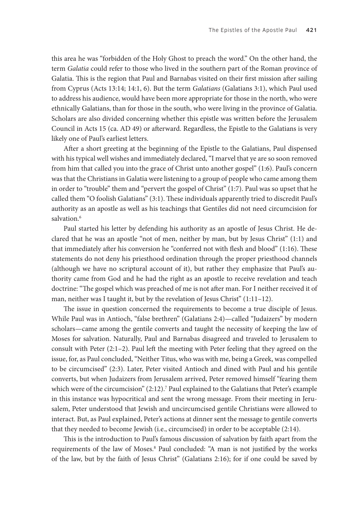this area he was "forbidden of the Holy Ghost to preach the word." On the other hand, the term *Galatia* could refer to those who lived in the southern part of the Roman province of Galatia. This is the region that Paul and Barnabas visited on their first mission after sailing from Cyprus (Acts 13:14; 14:1, 6). But the term *Galatians* (Galatians 3:1), which Paul used to address his audience, would have been more appropriate for those in the north, who were ethnically Galatians, than for those in the south, who were living in the province of Galatia. Scholars are also divided concerning whether this epistle was written before the Jerusalem Council in Acts 15 (ca. AD 49) or afterward. Regardless, the Epistle to the Galatians is very likely one of Paul's earliest letters.

After a short greeting at the beginning of the Epistle to the Galatians, Paul dispensed with his typical well wishes and immediately declared, "I marvel that ye are so soon removed from him that called you into the grace of Christ unto another gospel" (1:6). Paul's concern was that the Christians in Galatia were listening to a group of people who came among them in order to "trouble" them and "pervert the gospel of Christ" (1:7). Paul was so upset that he called them "O foolish Galatians" (3:1). These individuals apparently tried to discredit Paul's authority as an apostle as well as his teachings that Gentiles did not need circumcision for salvation.<sup>6</sup>

Paul started his letter by defending his authority as an apostle of Jesus Christ. He declared that he was an apostle "not of men, neither by man, but by Jesus Christ" (1:1) and that immediately after his conversion he "conferred not with flesh and blood" (1:16). These statements do not deny his priesthood ordination through the proper priesthood channels (although we have no scriptural account of it), but rather they emphasize that Paul's authority came from God and he had the right as an apostle to receive revelation and teach doctrine: "The gospel which was preached of me is not after man. For I neither received it of man, neither was I taught it, but by the revelation of Jesus Christ" (1:11-12).

The issue in question concerned the requirements to become a true disciple of Jesus. While Paul was in Antioch, "false brethren" (Galatians 2:4)—called "Judaizers" by modern scholars—came among the gentile converts and taught the necessity of keeping the law of Moses for salvation. Naturally, Paul and Barnabas disagreed and traveled to Jerusalem to consult with Peter (2:1–2). Paul left the meeting with Peter feeling that they agreed on the issue, for, as Paul concluded, "Neither Titus, who was with me, being a Greek, was compelled to be circumcised" (2:3). Later, Peter visited Antioch and dined with Paul and his gentile converts, but when Judaizers from Jerusalem arrived, Peter removed himself "fearing them which were of the circumcision" (2:12).<sup>7</sup> Paul explained to the Galatians that Peter's example in this instance was hypocritical and sent the wrong message. From their meeting in Jerusalem, Peter understood that Jewish and uncircumcised gentile Christians were allowed to interact. But, as Paul explained, Peter's actions at dinner sent the message to gentile converts that they needed to become Jewish (i.e., circumcised) in order to be acceptable (2:14).

This is the introduction to Paul's famous discussion of salvation by faith apart from the requirements of the law of Moses.<sup>8</sup> Paul concluded: "A man is not justified by the works of the law, but by the faith of Jesus Christ" (Galatians 2:16); for if one could be saved by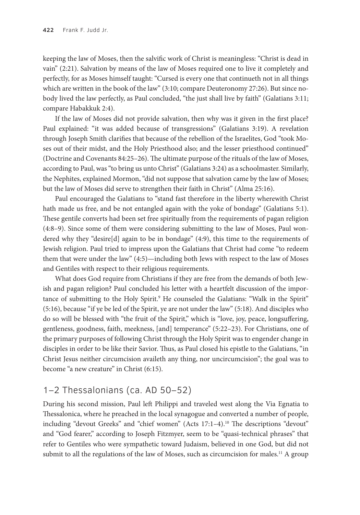keeping the law of Moses, then the salvific work of Christ is meaningless: "Christ is dead in vain" (2:21). Salvation by means of the law of Moses required one to live it completely and perfectly, for as Moses himself taught: "Cursed is every one that continueth not in all things which are written in the book of the law" (3:10; compare Deuteronomy 27:26). But since nobody lived the law perfectly, as Paul concluded, "the just shall live by faith" (Galatians 3:11; compare Habakkuk 2:4).

If the law of Moses did not provide salvation, then why was it given in the first place? Paul explained: "it was added because of transgressions" (Galatians 3:19). A revelation through Joseph Smith clarifies that because of the rebellion of the Israelites, God "took Moses out of their midst, and the Holy Priesthood also; and the lesser priesthood continued" (Doctrine and Covenants 84:25–26). The ultimate purpose of the rituals of the law of Moses, according to Paul, was "to bring us unto Christ" (Galatians 3:24) as a schoolmaster. Similarly, the Nephites, explained Mormon, "did not suppose that salvation came by the law of Moses; but the law of Moses did serve to strengthen their faith in Christ" (Alma 25:16).

Paul encouraged the Galatians to "stand fast therefore in the liberty wherewith Christ hath made us free, and be not entangled again with the yoke of bondage" (Galatians 5:1). These gentile converts had been set free spiritually from the requirements of pagan religion (4:8–9). Since some of them were considering submitting to the law of Moses, Paul wondered why they "desire[d] again to be in bondage" (4:9), this time to the requirements of Jewish religion. Paul tried to impress upon the Galatians that Christ had come "to redeem them that were under the law" (4:5)—including both Jews with respect to the law of Moses and Gentiles with respect to their religious requirements.

What does God require from Christians if they are free from the demands of both Jewish and pagan religion? Paul concluded his letter with a heartfelt discussion of the importance of submitting to the Holy Spirit.<sup>9</sup> He counseled the Galatians: "Walk in the Spirit" (5:16), because "if ye be led of the Spirit, ye are not under the law" (5:18). And disciples who do so will be blessed with "the fruit of the Spirit," which is "love, joy, peace, longsuffering, gentleness, goodness, faith, meekness, [and] temperance" (5:22–23). For Christians, one of the primary purposes of following Christ through the Holy Spirit was to engender change in disciples in order to be like their Savior. Thus, as Paul closed his epistle to the Galatians, "in Christ Jesus neither circumcision availeth any thing, nor uncircumcision"; the goal was to become "a new creature" in Christ (6:15).

## 1–2 Thessalonians (ca. AD 50–52)

During his second mission, Paul left Philippi and traveled west along the Via Egnatia to Thessalonica, where he preached in the local synagogue and converted a number of people, including "devout Greeks" and "chief women" (Acts 17:1-4).<sup>10</sup> The descriptions "devout" and "God fearer," according to Joseph Fitzmyer, seem to be "quasi-technical phrases" that refer to Gentiles who were sympathetic toward Judaism, believed in one God, but did not submit to all the regulations of the law of Moses, such as circumcision for males.<sup>11</sup> A group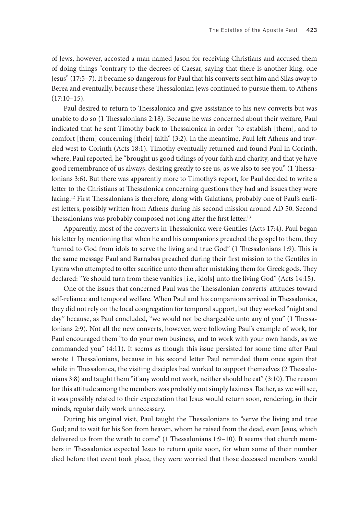of Jews, however, accosted a man named Jason for receiving Christians and accused them of doing things "contrary to the decrees of Caesar, saying that there is another king, one Jesus" (17:5–7). It became so dangerous for Paul that his converts sent him and Silas away to Berea and eventually, because these Thessalonian Jews continued to pursue them, to Athens (17:10–15).

Paul desired to return to Thessalonica and give assistance to his new converts but was unable to do so (1 Thessalonians 2:18). Because he was concerned about their welfare, Paul indicated that he sent Timothy back to Thessalonica in order "to establish [them], and to comfort [them] concerning [their] faith" (3:2). In the meantime, Paul left Athens and traveled west to Corinth (Acts 18:1). Timothy eventually returned and found Paul in Corinth, where, Paul reported, he "brought us good tidings of your faith and charity, and that ye have good remembrance of us always, desiring greatly to see us, as we also to see you" (1 Thessalonians 3:6). But there was apparently more to Timothy's report, for Paul decided to write a letter to the Christians at Thessalonica concerning questions they had and issues they were facing.12 First Thessalonians is therefore, along with Galatians, probably one of Paul's earliest letters, possibly written from Athens during his second mission around AD 50. Second Thessalonians was probably composed not long after the first letter.<sup>13</sup>

Apparently, most of the converts in Thessalonica were Gentiles (Acts 17:4). Paul began his letter by mentioning that when he and his companions preached the gospel to them, they "turned to God from idols to serve the living and true God" (1 Thessalonians 1:9). This is the same message Paul and Barnabas preached during their first mission to the Gentiles in Lystra who attempted to offer sacrifice unto them after mistaking them for Greek gods. They declared: "Ye should turn from these vanities [i.e., idols] unto the living God" (Acts 14:15).

One of the issues that concerned Paul was the Thessalonian converts' attitudes toward self-reliance and temporal welfare. When Paul and his companions arrived in Thessalonica, they did not rely on the local congregation for temporal support, but they worked "night and day" because, as Paul concluded, "we would not be chargeable unto any of you" (1 Thessalonians 2:9). Not all the new converts, however, were following Paul's example of work, for Paul encouraged them "to do your own business, and to work with your own hands, as we commanded you" (4:11). It seems as though this issue persisted for some time after Paul wrote 1 Thessalonians, because in his second letter Paul reminded them once again that while in Thessalonica, the visiting disciples had worked to support themselves (2 Thessalonians 3:8) and taught them "if any would not work, neither should he eat" (3:10). The reason for this attitude among the members was probably not simply laziness. Rather, as we will see, it was possibly related to their expectation that Jesus would return soon, rendering, in their minds, regular daily work unnecessary.

During his original visit, Paul taught the Thessalonians to "serve the living and true God; and to wait for his Son from heaven, whom he raised from the dead, even Jesus, which delivered us from the wrath to come" (1 Thessalonians 1:9–10). It seems that church members in Thessalonica expected Jesus to return quite soon, for when some of their number died before that event took place, they were worried that those deceased members would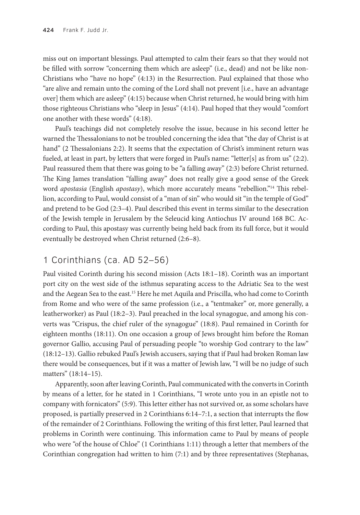miss out on important blessings. Paul attempted to calm their fears so that they would not be filled with sorrow "concerning them which are asleep" (i.e., dead) and not be like non-Christians who "have no hope" (4:13) in the Resurrection. Paul explained that those who "are alive and remain unto the coming of the Lord shall not prevent [i.e., have an advantage over] them which are asleep" (4:15) because when Christ returned, he would bring with him those righteous Christians who "sleep in Jesus" (4:14). Paul hoped that they would "comfort one another with these words" (4:18).

Paul's teachings did not completely resolve the issue, because in his second letter he warned the Thessalonians to not be troubled concerning the idea that "the day of Christ is at hand" (2 Thessalonians 2:2). It seems that the expectation of Christ's imminent return was fueled, at least in part, by letters that were forged in Paul's name: "letter[s] as from us" (2:2). Paul reassured them that there was going to be "a falling away" (2:3) before Christ returned. The King James translation "falling away" does not really give a good sense of the Greek word *apostasia* (English *apostasy*), which more accurately means "rebellion."14 This rebellion, according to Paul, would consist of a "man of sin" who would sit "in the temple of God" and pretend to be God (2:3–4). Paul described this event in terms similar to the desecration of the Jewish temple in Jerusalem by the Seleucid king Antiochus IV around 168 BC. According to Paul, this apostasy was currently being held back from its full force, but it would eventually be destroyed when Christ returned (2:6–8).

## 1 Corinthians (ca. AD 52–56)

Paul visited Corinth during his second mission (Acts 18:1–18). Corinth was an important port city on the west side of the isthmus separating access to the Adriatic Sea to the west and the Aegean Sea to the east.15 Here he met Aquila and Priscilla, who had come to Corinth from Rome and who were of the same profession (i.e., a "tentmaker" or, more generally, a leatherworker) as Paul (18:2–3). Paul preached in the local synagogue, and among his converts was "Crispus, the chief ruler of the synagogue" (18:8). Paul remained in Corinth for eighteen months (18:11). On one occasion a group of Jews brought him before the Roman governor Gallio, accusing Paul of persuading people "to worship God contrary to the law" (18:12–13). Gallio rebuked Paul's Jewish accusers, saying that if Paul had broken Roman law there would be consequences, but if it was a matter of Jewish law, "I will be no judge of such matters" (18:14–15).

Apparently, soon after leaving Corinth, Paul communicated with the converts in Corinth by means of a letter, for he stated in 1 Corinthians, "I wrote unto you in an epistle not to company with fornicators" (5:9). This letter either has not survived or, as some scholars have proposed, is partially preserved in 2 Corinthians 6:14–7:1, a section that interrupts the flow of the remainder of 2 Corinthians. Following the writing of this first letter, Paul learned that problems in Corinth were continuing. This information came to Paul by means of people who were "of the house of Chloe" (1 Corinthians 1:11) through a letter that members of the Corinthian congregation had written to him (7:1) and by three representatives (Stephanas,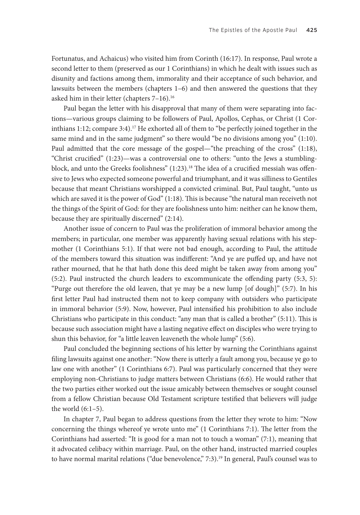Fortunatus, and Achaicus) who visited him from Corinth (16:17). In response, Paul wrote a second letter to them (preserved as our 1 Corinthians) in which he dealt with issues such as disunity and factions among them, immorality and their acceptance of such behavior, and lawsuits between the members (chapters 1–6) and then answered the questions that they asked him in their letter (chapters 7-16).<sup>16</sup>

Paul began the letter with his disapproval that many of them were separating into factions—various groups claiming to be followers of Paul, Apollos, Cephas, or Christ (1 Corinthians 1:12; compare 3:4).<sup>17</sup> He exhorted all of them to "be perfectly joined together in the same mind and in the same judgment" so there would "be no divisions among you" (1:10). Paul admitted that the core message of the gospel—"the preaching of the cross" (1:18), "Christ crucified" (1:23)—was a controversial one to others: "unto the Jews a stumblingblock, and unto the Greeks foolishness"  $(1:23)$ .<sup>18</sup> The idea of a crucified messiah was offensive to Jews who expected someone powerful and triumphant, and it was silliness to Gentiles because that meant Christians worshipped a convicted criminal. But, Paul taught, "unto us which are saved it is the power of God" (1:18). This is because "the natural man receiveth not the things of the Spirit of God: for they are foolishness unto him: neither can he know them, because they are spiritually discerned" (2:14).

Another issue of concern to Paul was the proliferation of immoral behavior among the members; in particular, one member was apparently having sexual relations with his stepmother (1 Corinthians 5:1). If that were not bad enough, according to Paul, the attitude of the members toward this situation was indifferent: "And ye are puffed up, and have not rather mourned, that he that hath done this deed might be taken away from among you" (5:2). Paul instructed the church leaders to excommunicate the offending party (5:3, 5): "Purge out therefore the old leaven, that ye may be a new lump [of dough]" (5:7). In his first letter Paul had instructed them not to keep company with outsiders who participate in immoral behavior (5:9). Now, however, Paul intensified his prohibition to also include Christians who participate in this conduct: "any man that is called a brother" (5:11). This is because such association might have a lasting negative effect on disciples who were trying to shun this behavior, for "a little leaven leaveneth the whole lump" (5:6).

Paul concluded the beginning sections of his letter by warning the Corinthians against filing lawsuits against one another: "Now there is utterly a fault among you, because ye go to law one with another" (1 Corinthians 6:7). Paul was particularly concerned that they were employing non-Christians to judge matters between Christians (6:6). He would rather that the two parties either worked out the issue amicably between themselves or sought counsel from a fellow Christian because Old Testament scripture testified that believers will judge the world  $(6:1-5)$ .

In chapter 7, Paul began to address questions from the letter they wrote to him: "Now concerning the things whereof ye wrote unto me" (1 Corinthians 7:1). The letter from the Corinthians had asserted: "It is good for a man not to touch a woman" (7:1), meaning that it advocated celibacy within marriage. Paul, on the other hand, instructed married couples to have normal marital relations ("due benevolence," 7:3).<sup>19</sup> In general, Paul's counsel was to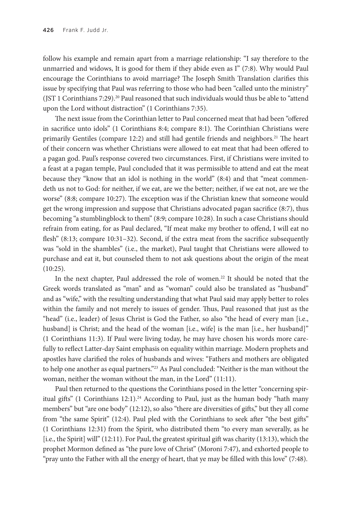follow his example and remain apart from a marriage relationship: "I say therefore to the unmarried and widows, It is good for them if they abide even as I" (7:8). Why would Paul encourage the Corinthians to avoid marriage? The Joseph Smith Translation clarifies this issue by specifying that Paul was referring to those who had been "called unto the ministry" (JST 1 Corinthians 7:29).<sup>20</sup> Paul reasoned that such individuals would thus be able to "attend upon the Lord without distraction" (1 Corinthians 7:35).

The next issue from the Corinthian letter to Paul concerned meat that had been "offered in sacrifice unto idols" (1 Corinthians 8:4; compare 8:1). The Corinthian Christians were primarily Gentiles (compare 12:2) and still had gentile friends and neighbors.<sup>21</sup> The heart of their concern was whether Christians were allowed to eat meat that had been offered to a pagan god. Paul's response covered two circumstances. First, if Christians were invited to a feast at a pagan temple, Paul concluded that it was permissible to attend and eat the meat because they "know that an idol is nothing in the world" (8:4) and that "meat commendeth us not to God: for neither, if we eat, are we the better; neither, if we eat not, are we the worse" (8:8; compare 10:27). The exception was if the Christian knew that someone would get the wrong impression and suppose that Christians advocated pagan sacrifice (8:7), thus becoming "a stumblingblock to them" (8:9; compare 10:28). In such a case Christians should refrain from eating, for as Paul declared, "If meat make my brother to offend, I will eat no flesh" (8:13; compare 10:31–32). Second, if the extra meat from the sacrifice subsequently was "sold in the shambles" (i.e., the market), Paul taught that Christians were allowed to purchase and eat it, but counseled them to not ask questions about the origin of the meat (10:25).

In the next chapter, Paul addressed the role of women.<sup>22</sup> It should be noted that the Greek words translated as "man" and as "woman" could also be translated as "husband" and as "wife," with the resulting understanding that what Paul said may apply better to roles within the family and not merely to issues of gender. Thus, Paul reasoned that just as the "head" (i.e., leader) of Jesus Christ is God the Father, so also "the head of every man [i.e., husband] is Christ; and the head of the woman [i.e., wife] is the man [i.e., her husband]" (1 Corinthians 11:3). If Paul were living today, he may have chosen his words more carefully to reflect Latter-day Saint emphasis on equality within marriage. Modern prophets and apostles have clarified the roles of husbands and wives: "Fathers and mothers are obligated to help one another as equal partners."<sup>23</sup> As Paul concluded: "Neither is the man without the woman, neither the woman without the man, in the Lord" (11:11).

Paul then returned to the questions the Corinthians posed in the letter "concerning spiritual gifts" (1 Corinthians 12:1).<sup>24</sup> According to Paul, just as the human body "hath many members" but "are one body" (12:12), so also "there are diversities of gifts," but they all come from "the same Spirit" (12:4). Paul pled with the Corinthians to seek after "the best gifts" (1 Corinthians 12:31) from the Spirit, who distributed them "to every man severally, as he [i.e., the Spirit] will" (12:11). For Paul, the greatest spiritual gift was charity (13:13), which the prophet Mormon defined as "the pure love of Christ" (Moroni 7:47), and exhorted people to "pray unto the Father with all the energy of heart, that ye may be filled with this love" (7:48).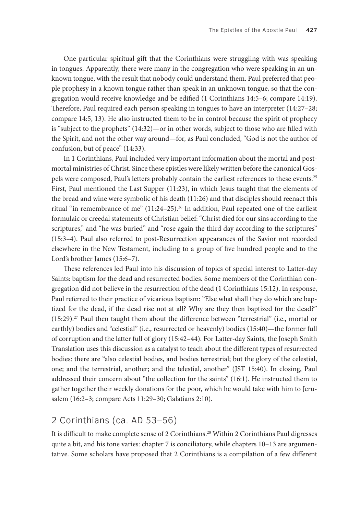One particular spiritual gift that the Corinthians were struggling with was speaking in tongues. Apparently, there were many in the congregation who were speaking in an unknown tongue, with the result that nobody could understand them. Paul preferred that people prophesy in a known tongue rather than speak in an unknown tongue, so that the congregation would receive knowledge and be edified (1 Corinthians 14:5–6; compare 14:19). Therefore, Paul required each person speaking in tongues to have an interpreter (14:27–28; compare 14:5, 13). He also instructed them to be in control because the spirit of prophecy is "subject to the prophets" (14:32)—or in other words, subject to those who are filled with the Spirit, and not the other way around—for, as Paul concluded, "God is not the author of confusion, but of peace" (14:33).

In 1 Corinthians, Paul included very important information about the mortal and postmortal ministries of Christ. Since these epistles were likely written before the canonical Gospels were composed, Paul's letters probably contain the earliest references to these events.<sup>25</sup> First, Paul mentioned the Last Supper (11:23), in which Jesus taught that the elements of the bread and wine were symbolic of his death (11:26) and that disciples should reenact this ritual "in remembrance of me"  $(11:24-25)$ .<sup>26</sup> In addition, Paul repeated one of the earliest formulaic or creedal statements of Christian belief: "Christ died for our sins according to the scriptures," and "he was buried" and "rose again the third day according to the scriptures" (15:3–4). Paul also referred to post-Resurrection appearances of the Savior not recorded elsewhere in the New Testament, including to a group of five hundred people and to the Lord's brother James (15:6–7).

These references led Paul into his discussion of topics of special interest to Latter-day Saints: baptism for the dead and resurrected bodies. Some members of the Corinthian congregation did not believe in the resurrection of the dead (1 Corinthians 15:12). In response, Paul referred to their practice of vicarious baptism: "Else what shall they do which are baptized for the dead, if the dead rise not at all? Why are they then baptized for the dead?" (15:29).27 Paul then taught them about the difference between "terrestrial" (i.e., mortal or earthly) bodies and "celestial" (i.e., resurrected or heavenly) bodies (15:40)—the former full of corruption and the latter full of glory (15:42–44). For Latter-day Saints, the Joseph Smith Translation uses this discussion as a catalyst to teach about the different types of resurrected bodies: there are "also celestial bodies, and bodies terrestrial; but the glory of the celestial, one; and the terrestrial, another; and the telestial, another" (JST 15:40). In closing, Paul addressed their concern about "the collection for the saints" (16:1). He instructed them to gather together their weekly donations for the poor, which he would take with him to Jerusalem (16:2–3; compare Acts 11:29–30; Galatians 2:10).

#### 2 Corinthians (ca. AD 53–56)

It is difficult to make complete sense of 2 Corinthians.<sup>28</sup> Within 2 Corinthians Paul digresses quite a bit, and his tone varies: chapter 7 is conciliatory, while chapters 10–13 are argumentative. Some scholars have proposed that 2 Corinthians is a compilation of a few different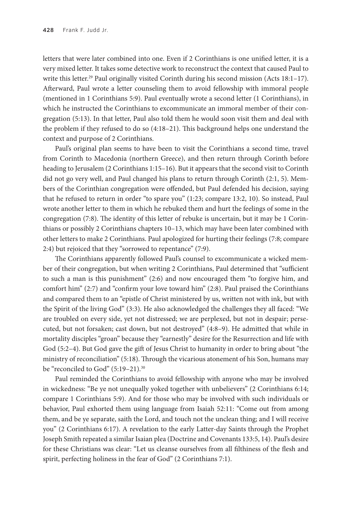letters that were later combined into one. Even if 2 Corinthians is one unified letter, it is a very mixed letter. It takes some detective work to reconstruct the context that caused Paul to write this letter.<sup>29</sup> Paul originally visited Corinth during his second mission (Acts 18:1–17). Afterward, Paul wrote a letter counseling them to avoid fellowship with immoral people (mentioned in 1 Corinthians 5:9). Paul eventually wrote a second letter (1 Corinthians), in which he instructed the Corinthians to excommunicate an immoral member of their congregation (5:13). In that letter, Paul also told them he would soon visit them and deal with the problem if they refused to do so (4:18–21). This background helps one understand the context and purpose of 2 Corinthians.

Paul's original plan seems to have been to visit the Corinthians a second time, travel from Corinth to Macedonia (northern Greece), and then return through Corinth before heading to Jerusalem (2 Corinthians 1:15–16). But it appears that the second visit to Corinth did not go very well, and Paul changed his plans to return through Corinth (2:1, 5). Members of the Corinthian congregation were offended, but Paul defended his decision, saying that he refused to return in order "to spare you" (1:23; compare 13:2, 10). So instead, Paul wrote another letter to them in which he rebuked them and hurt the feelings of some in the congregation (7:8). The identity of this letter of rebuke is uncertain, but it may be 1 Corinthians or possibly 2 Corinthians chapters 10–13, which may have been later combined with other letters to make 2 Corinthians. Paul apologized for hurting their feelings (7:8; compare 2:4) but rejoiced that they "sorrowed to repentance" (7:9).

The Corinthians apparently followed Paul's counsel to excommunicate a wicked member of their congregation, but when writing 2 Corinthians, Paul determined that "sufficient to such a man is this punishment" (2:6) and now encouraged them "to forgive him, and comfort him" (2:7) and "confirm your love toward him" (2:8). Paul praised the Corinthians and compared them to an "epistle of Christ ministered by us, written not with ink, but with the Spirit of the living God" (3:3). He also acknowledged the challenges they all faced: "We are troubled on every side, yet not distressed; we are perplexed, but not in despair; persecuted, but not forsaken; cast down, but not destroyed" (4:8–9). He admitted that while in mortality disciples "groan" because they "earnestly" desire for the Resurrection and life with God (5:2–4). But God gave the gift of Jesus Christ to humanity in order to bring about "the ministry of reconciliation" (5:18). Through the vicarious atonement of his Son, humans may be "reconciled to God" (5:19–21).<sup>30</sup>

Paul reminded the Corinthians to avoid fellowship with anyone who may be involved in wickedness: "Be ye not unequally yoked together with unbelievers" (2 Corinthians 6:14; compare 1 Corinthians 5:9). And for those who may be involved with such individuals or behavior, Paul exhorted them using language from Isaiah 52:11: "Come out from among them, and be ye separate, saith the Lord, and touch not the unclean thing; and I will receive you" (2 Corinthians 6:17). A revelation to the early Latter-day Saints through the Prophet Joseph Smith repeated a similar Isaian plea (Doctrine and Covenants 133:5, 14). Paul's desire for these Christians was clear: "Let us cleanse ourselves from all filthiness of the flesh and spirit, perfecting holiness in the fear of God" (2 Corinthians 7:1).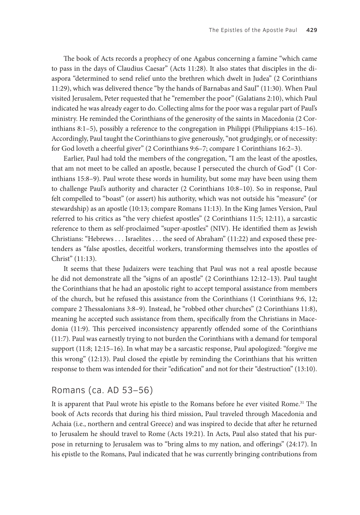The book of Acts records a prophecy of one Agabus concerning a famine "which came to pass in the days of Claudius Caesar" (Acts 11:28). It also states that disciples in the diaspora "determined to send relief unto the brethren which dwelt in Judea" (2 Corinthians 11:29), which was delivered thence "by the hands of Barnabas and Saul" (11:30). When Paul visited Jerusalem, Peter requested that he "remember the poor" (Galatians 2:10), which Paul indicated he was already eager to do. Collecting alms for the poor was a regular part of Paul's ministry. He reminded the Corinthians of the generosity of the saints in Macedonia (2 Corinthians 8:1–5), possibly a reference to the congregation in Philippi (Philippians 4:15–16). Accordingly, Paul taught the Corinthians to give generously, "not grudgingly, or of necessity: for God loveth a cheerful giver" (2 Corinthians 9:6–7; compare 1 Corinthians 16:2–3).

Earlier, Paul had told the members of the congregation, "I am the least of the apostles, that am not meet to be called an apostle, because I persecuted the church of God" (1 Corinthians 15:8–9). Paul wrote these words in humility, but some may have been using them to challenge Paul's authority and character (2 Corinthians 10:8–10). So in response, Paul felt compelled to "boast" (or assert) his authority, which was not outside his "measure" (or stewardship) as an apostle (10:13; compare Romans 11:13). In the King James Version, Paul referred to his critics as "the very chiefest apostles" (2 Corinthians 11:5; 12:11), a sarcastic reference to them as self-proclaimed "super-apostles" (NIV). He identified them as Jewish Christians: "Hebrews . . . Israelites . . . the seed of Abraham" (11:22) and exposed these pretenders as "false apostles, deceitful workers, transforming themselves into the apostles of Christ" (11:13).

It seems that these Judaizers were teaching that Paul was not a real apostle because he did not demonstrate all the "signs of an apostle" (2 Corinthians 12:12–13). Paul taught the Corinthians that he had an apostolic right to accept temporal assistance from members of the church, but he refused this assistance from the Corinthians (1 Corinthians 9:6, 12; compare 2 Thessalonians 3:8–9). Instead, he "robbed other churches" (2 Corinthians 11:8), meaning he accepted such assistance from them, specifically from the Christians in Macedonia (11:9). This perceived inconsistency apparently offended some of the Corinthians (11:7). Paul was earnestly trying to not burden the Corinthians with a demand for temporal support (11:8; 12:15–16). In what may be a sarcastic response, Paul apologized: "forgive me this wrong" (12:13). Paul closed the epistle by reminding the Corinthians that his written response to them was intended for their "edification" and not for their "destruction" (13:10).

#### Romans (ca. AD 53–56)

It is apparent that Paul wrote his epistle to the Romans before he ever visited Rome.<sup>31</sup> The book of Acts records that during his third mission, Paul traveled through Macedonia and Achaia (i.e., northern and central Greece) and was inspired to decide that after he returned to Jerusalem he should travel to Rome (Acts 19:21). In Acts, Paul also stated that his purpose in returning to Jerusalem was to "bring alms to my nation, and offerings" (24:17). In his epistle to the Romans, Paul indicated that he was currently bringing contributions from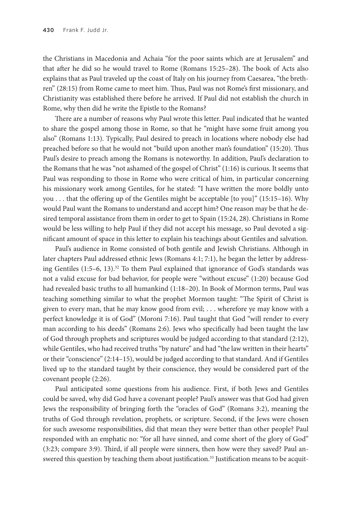the Christians in Macedonia and Achaia "for the poor saints which are at Jerusalem" and that after he did so he would travel to Rome (Romans 15:25–28). The book of Acts also explains that as Paul traveled up the coast of Italy on his journey from Caesarea, "the brethren" (28:15) from Rome came to meet him. Thus, Paul was not Rome's first missionary, and Christianity was established there before he arrived. If Paul did not establish the church in Rome, why then did he write the Epistle to the Romans?

There are a number of reasons why Paul wrote this letter. Paul indicated that he wanted to share the gospel among those in Rome, so that he "might have some fruit among you also" (Romans 1:13). Typically, Paul desired to preach in locations where nobody else had preached before so that he would not "build upon another man's foundation" (15:20). Thus Paul's desire to preach among the Romans is noteworthy. In addition, Paul's declaration to the Romans that he was "not ashamed of the gospel of Christ" (1:16) is curious. It seems that Paul was responding to those in Rome who were critical of him, in particular concerning his missionary work among Gentiles, for he stated: "I have written the more boldly unto you . . . that the offering up of the Gentiles might be acceptable [to you]" (15:15–16). Why would Paul want the Romans to understand and accept him? One reason may be that he desired temporal assistance from them in order to get to Spain (15:24, 28). Christians in Rome would be less willing to help Paul if they did not accept his message, so Paul devoted a significant amount of space in this letter to explain his teachings about Gentiles and salvation.

Paul's audience in Rome consisted of both gentile and Jewish Christians. Although in later chapters Paul addressed ethnic Jews (Romans 4:1; 7:1), he began the letter by addressing Gentiles  $(1:5-6, 13).$ <sup>32</sup> To them Paul explained that ignorance of God's standards was not a valid excuse for bad behavior, for people were "without excuse" (1:20) because God had revealed basic truths to all humankind (1:18–20). In Book of Mormon terms, Paul was teaching something similar to what the prophet Mormon taught: "The Spirit of Christ is given to every man, that he may know good from evil; . . . wherefore ye may know with a perfect knowledge it is of God" (Moroni 7:16). Paul taught that God "will render to every man according to his deeds" (Romans 2:6). Jews who specifically had been taught the law of God through prophets and scriptures would be judged according to that standard (2:12), while Gentiles, who had received truths "by nature" and had "the law written in their hearts" or their "conscience" (2:14–15), would be judged according to that standard. And if Gentiles lived up to the standard taught by their conscience, they would be considered part of the covenant people (2:26).

Paul anticipated some questions from his audience. First, if both Jews and Gentiles could be saved, why did God have a covenant people? Paul's answer was that God had given Jews the responsibility of bringing forth the "oracles of God" (Romans 3:2), meaning the truths of God through revelation, prophets, or scripture. Second, if the Jews were chosen for such awesome responsibilities, did that mean they were better than other people? Paul responded with an emphatic no: "for all have sinned, and come short of the glory of God" (3:23; compare 3:9). Third, if all people were sinners, then how were they saved? Paul answered this question by teaching them about justification.<sup>33</sup> Justification means to be acquit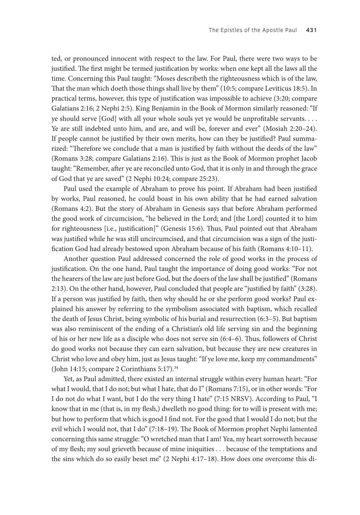ted, or pronounced innocent with respect to the law. For Paul, there were two ways to be justified. The first might be termed justification by works: when one kept all the laws all the time. Concerning this Paul taught: "Moses describeth the righteousness which is of the law, That the man which doeth those things shall live by them" (10:5; compare Leviticus 18:5). In practical terms, however, this type of justification was impossible to achieve (3:20; compare Galatians 2:16; 2 Nephi 2:5). King Benjamin in the Book of Mormon similarly reasoned: "If ye should serve [God] with all your whole souls yet ye would be unprofitable servants. . . . Ye are still indebted unto him, and are, and will be, forever and ever" (Mosiah 2:20–24). If people cannot be justified by their own merits, how can they be justified? Paul summarized: "Therefore we conclude that a man is justified by faith without the deeds of the law" (Romans 3:28; compare Galatians 2:16). This is just as the Book of Mormon prophet Jacob taught: "Remember, after ye are reconciled unto God, that it is only in and through the grace of God that ye are saved" (2 Nephi 10:24; compare 25:23).

Paul used the example of Abraham to prove his point. If Abraham had been justified by works, Paul reasoned, he could boast in his own ability that he had earned salvation (Romans 4:2). But the story of Abraham in Genesis says that before Abraham performed the good work of circumcision, "he believed in the Lord; and [the Lord] counted it to him for righteousness [i.e., justification]" (Genesis 15:6). Thus, Paul pointed out that Abraham was justified while he was still uncircumcised, and that circumcision was a sign of the justification God had already bestowed upon Abraham because of his faith (Romans 4:10–11).

Another question Paul addressed concerned the role of good works in the process of justification. On the one hand, Paul taught the importance of doing good works: "For not the hearers of the law are just before God, but the doers of the law shall be justified" (Romans 2:13). On the other hand, however, Paul concluded that people are "justified by faith" (3:28). If a person was justified by faith, then why should he or she perform good works? Paul explained his answer by referring to the symbolism associated with baptism, which recalled the death of Jesus Christ, being symbolic of his burial and resurrection (6:3–5). But baptism was also reminiscent of the ending of a Christian's old life serving sin and the beginning of his or her new life as a disciple who does not serve sin (6:4–6). Thus, followers of Christ do good works not because they can earn salvation, but because they are new creatures in Christ who love and obey him, just as Jesus taught: "If ye love me, keep my commandments" (John 14:15; compare 2 Corinthians 5:17).<sup>34</sup>

Yet, as Paul admitted, there existed an internal struggle within every human heart: "For what I would, that I do not; but what I hate, that do I" (Romans 7:15), or in other words: "For I do not do what I want, but I do the very thing I hate" (7:15 NRSV). According to Paul, "I know that in me (that is, in my flesh,) dwelleth no good thing: for to will is present with me; but how to perform that which is good I find not. For the good that I would I do not; but the evil which I would not, that I do" (7:18–19). The Book of Mormon prophet Nephi lamented concerning this same struggle: "O wretched man that I am! Yea, my heart sorroweth because of my flesh; my soul grieveth because of mine iniquities . . . because of the temptations and the sins which do so easily beset me" (2 Nephi 4:17–18). How does one overcome this di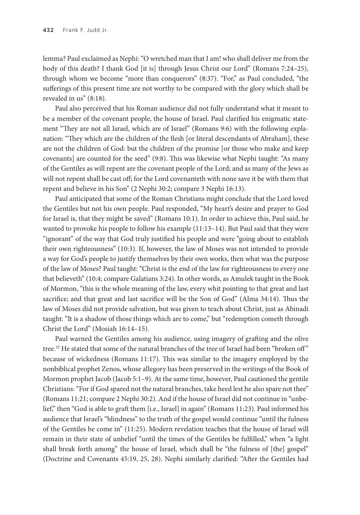lemma? Paul exclaimed as Nephi: "O wretched man that I am! who shall deliver me from the body of this death? I thank God [it is] through Jesus Christ our Lord" (Romans 7:24–25), through whom we become "more than conquerors" (8:37). "For," as Paul concluded, "the sufferings of this present time are not worthy to be compared with the glory which shall be revealed in us" (8:18).

Paul also perceived that his Roman audience did not fully understand what it meant to be a member of the covenant people, the house of Israel. Paul clarified his enigmatic statement "They are not all Israel, which are of Israel" (Romans 9:6) with the following explanation: "They which are the children of the flesh [or literal descendants of Abraham], these are not the children of God: but the children of the promise [or those who make and keep covenants] are counted for the seed" (9:8). This was likewise what Nephi taught: "As many of the Gentiles as will repent are the covenant people of the Lord; and as many of the Jews as will not repent shall be cast off; for the Lord covenanteth with none save it be with them that repent and believe in his Son" (2 Nephi 30:2; compare 3 Nephi 16:13).

Paul anticipated that some of the Roman Christians might conclude that the Lord loved the Gentiles but not his own people. Paul responded, "My heart's desire and prayer to God for Israel is, that they might be saved" (Romans 10:1). In order to achieve this, Paul said, he wanted to provoke his people to follow his example (11:13–14). But Paul said that they were "ignorant" of the way that God truly justified his people and were "going about to establish their own righteousness" (10:3). If, however, the law of Moses was not intended to provide a way for God's people to justify themselves by their own works, then what was the purpose of the law of Moses? Paul taught: "Christ is the end of the law for righteousness to every one that believeth" (10:4; compare Galatians 3:24). In other words, as Amulek taught in the Book of Mormon, "this is the whole meaning of the law, every whit pointing to that great and last sacrifice; and that great and last sacrifice will be the Son of God" (Alma 34:14). Thus the law of Moses did not provide salvation, but was given to teach about Christ, just as Abinadi taught: "It is a shadow of those things which are to come," but "redemption cometh through Christ the Lord" (Mosiah 16:14–15).

Paul warned the Gentiles among his audience, using imagery of grafting and the olive tree.35 He stated that some of the natural branches of the tree of Israel had been "broken off " because of wickedness (Romans 11:17). This was similar to the imagery employed by the nonbiblical prophet Zenos, whose allegory has been preserved in the writings of the Book of Mormon prophet Jacob (Jacob 5:1–9). At the same time, however, Paul cautioned the gentile Christians: "For if God spared not the natural branches, take heed lest he also spare not thee" (Romans 11:21; compare 2 Nephi 30:2). And if the house of Israel did not continue in "unbelief," then "God is able to graft them [i.e., Israel] in again" (Romans 11:23). Paul informed his audience that Israel's "blindness" to the truth of the gospel would continue "until the fulness of the Gentiles be come in" (11:25). Modern revelation teaches that the house of Israel will remain in their state of unbelief "until the times of the Gentiles be fulfilled," when "a light shall break forth among" the house of Israel, which shall be "the fulness of [the] gospel" (Doctrine and Covenants 45:19, 25, 28). Nephi similarly clarified: "After the Gentiles had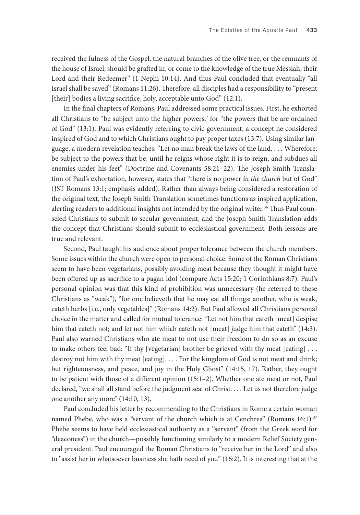received the fulness of the Gospel, the natural branches of the olive tree, or the remnants of the house of Israel, should be grafted in, or come to the knowledge of the true Messiah, their Lord and their Redeemer" (1 Nephi 10:14). And thus Paul concluded that eventually "all Israel shall be saved" (Romans 11:26). Therefore, all disciples had a responsibility to "present [their] bodies a living sacrifice, holy, acceptable unto God" (12:1).

In the final chapters of Romans, Paul addressed some practical issues. First, he exhorted all Christians to "be subject unto the higher powers," for "the powers that be are ordained of God" (13:1). Paul was evidently referring to civic government, a concept he considered inspired of God and to which Christians ought to pay proper taxes (13:7). Using similar language, a modern revelation teaches: "Let no man break the laws of the land. . . . Wherefore, be subject to the powers that be, until he reigns whose right it is to reign, and subdues all enemies under his feet" (Doctrine and Covenants 58:21–22). The Joseph Smith Translation of Paul's exhortation, however, states that "there is no power *in the church* but of God" (JST Romans 13:1; emphasis added). Rather than always being considered a restoration of the original text, the Joseph Smith Translation sometimes functions as inspired application, alerting readers to additional insights not intended by the original writer.<sup>36</sup> Thus Paul counseled Christians to submit to secular government, and the Joseph Smith Translation adds the concept that Christians should submit to ecclesiastical government. Both lessons are true and relevant.

Second, Paul taught his audience about proper tolerance between the church members. Some issues within the church were open to personal choice. Some of the Roman Christians seem to have been vegetarians, possibly avoiding meat because they thought it might have been offered up as sacrifice to a pagan idol (compare Acts 15:20; 1 Corinthians 8:7). Paul's personal opinion was that this kind of prohibition was unnecessary (he referred to these Christians as "weak"), "for one believeth that he may eat all things: another, who is weak, eateth herbs [i.e., only vegetables]" (Romans 14:2). But Paul allowed all Christians personal choice in the matter and called for mutual tolerance: "Let not him that eateth [meat] despise him that eateth not; and let not him which eateth not [meat] judge him that eateth" (14:3). Paul also warned Christians who ate meat to not use their freedom to do so as an excuse to make others feel bad: "If thy [vegetarian] brother be grieved with thy meat [eating] . . . destroy not him with thy meat [eating]. . . . For the kingdom of God is not meat and drink; but righteousness, and peace, and joy in the Holy Ghost" (14:15, 17). Rather, they ought to be patient with those of a different opinion (15:1–2). Whether one ate meat or not, Paul declared, "we shall all stand before the judgment seat of Christ. . . . Let us not therefore judge one another any more" (14:10, 13).

Paul concluded his letter by recommending to the Christians in Rome a certain woman named Phebe, who was a "servant of the church which is at Cenchrea" (Romans 16:1).<sup>37</sup> Phebe seems to have held ecclesiastical authority as a "servant" (from the Greek word for "deaconess") in the church—possibly functioning similarly to a modern Relief Society general president. Paul encouraged the Roman Christians to "receive her in the Lord" and also to "assist her in whatsoever business she hath need of you" (16:2). It is interesting that at the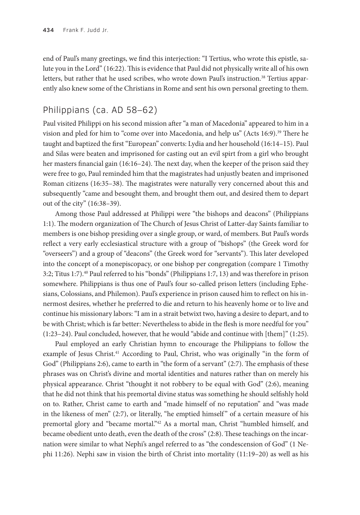end of Paul's many greetings, we find this interjection: "I Tertius, who wrote this epistle, salute you in the Lord" (16:22). This is evidence that Paul did not physically write all of his own letters, but rather that he used scribes, who wrote down Paul's instruction.<sup>38</sup> Tertius apparently also knew some of the Christians in Rome and sent his own personal greeting to them.

# Philippians (ca. AD 58–62)

Paul visited Philippi on his second mission after "a man of Macedonia" appeared to him in a vision and pled for him to "come over into Macedonia, and help us" (Acts 16:9).<sup>39</sup> There he taught and baptized the first "European" converts: Lydia and her household (16:14–15). Paul and Silas were beaten and imprisoned for casting out an evil spirt from a girl who brought her masters financial gain (16:16–24). The next day, when the keeper of the prison said they were free to go, Paul reminded him that the magistrates had unjustly beaten and imprisoned Roman citizens (16:35–38). The magistrates were naturally very concerned about this and subsequently "came and besought them, and brought them out, and desired them to depart out of the city" (16:38–39).

Among those Paul addressed at Philippi were "the bishops and deacons" (Philippians 1:1). The modern organization of The Church of Jesus Christ of Latter-day Saints familiar to members is one bishop presiding over a single group, or ward, of members. But Paul's words reflect a very early ecclesiastical structure with a group of "bishops" (the Greek word for "overseers") and a group of "deacons" (the Greek word for "servants"). This later developed into the concept of a monepiscopacy, or one bishop per congregation (compare 1 Timothy 3:2; Titus 1:7).40 Paul referred to his "bonds" (Philippians 1:7, 13) and was therefore in prison somewhere. Philippians is thus one of Paul's four so-called prison letters (including Ephesians, Colossians, and Philemon). Paul's experience in prison caused him to reflect on his innermost desires, whether he preferred to die and return to his heavenly home or to live and continue his missionary labors: "I am in a strait betwixt two, having a desire to depart, and to be with Christ; which is far better: Nevertheless to abide in the flesh is more needful for you" (1:23–24). Paul concluded, however, that he would "abide and continue with [them]" (1:25).

Paul employed an early Christian hymn to encourage the Philippians to follow the example of Jesus Christ.<sup>41</sup> According to Paul, Christ, who was originally "in the form of God" (Philippians 2:6), came to earth in "the form of a servant" (2:7). The emphasis of these phrases was on Christ's divine and mortal identities and natures rather than on merely his physical appearance. Christ "thought it not robbery to be equal with God" (2:6), meaning that he did not think that his premortal divine status was something he should selfishly hold on to. Rather, Christ came to earth and "made himself of no reputation" and "was made in the likeness of men" (2:7), or literally, "he emptied himself" of a certain measure of his premortal glory and "became mortal."<sup>42</sup> As a mortal man, Christ "humbled himself, and became obedient unto death, even the death of the cross" (2:8). These teachings on the incarnation were similar to what Nephi's angel referred to as "the condescension of God" (1 Nephi 11:26). Nephi saw in vision the birth of Christ into mortality (11:19–20) as well as his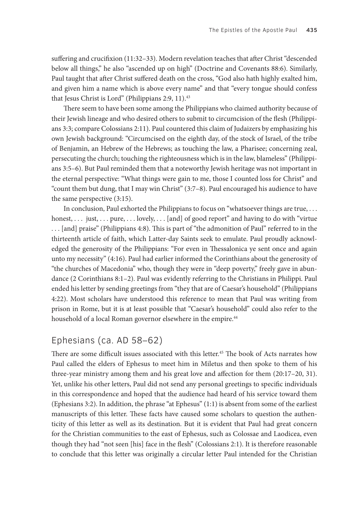suffering and crucifixion (11:32–33). Modern revelation teaches that after Christ "descended below all things," he also "ascended up on high" (Doctrine and Covenants 88:6). Similarly, Paul taught that after Christ suffered death on the cross, "God also hath highly exalted him, and given him a name which is above every name" and that "every tongue should confess that Jesus Christ is Lord" (Philippians 2:9, 11).<sup>43</sup>

There seem to have been some among the Philippians who claimed authority because of their Jewish lineage and who desired others to submit to circumcision of the flesh (Philippians 3:3; compare Colossians 2:11). Paul countered this claim of Judaizers by emphasizing his own Jewish background: "Circumcised on the eighth day, of the stock of Israel, of the tribe of Benjamin, an Hebrew of the Hebrews; as touching the law, a Pharisee; concerning zeal, persecuting the church; touching the righteousness which is in the law, blameless" (Philippians 3:5–6). But Paul reminded them that a noteworthy Jewish heritage was not important in the eternal perspective: "What things were gain to me, those I counted loss for Christ" and "count them but dung, that I may win Christ" (3:7–8). Paul encouraged his audience to have the same perspective (3:15).

In conclusion, Paul exhorted the Philippians to focus on "whatsoever things are true, . . . honest, ... just, ... pure, ... lovely, ... [and] of good report" and having to do with "virtue . . . [and] praise" (Philippians 4:8). This is part of "the admonition of Paul" referred to in the thirteenth article of faith, which Latter-day Saints seek to emulate. Paul proudly acknowledged the generosity of the Philippians: "For even in Thessalonica ye sent once and again unto my necessity" (4:16). Paul had earlier informed the Corinthians about the generosity of "the churches of Macedonia" who, though they were in "deep poverty," freely gave in abundance (2 Corinthians 8:1–2). Paul was evidently referring to the Christians in Philippi. Paul ended his letter by sending greetings from "they that are of Caesar's household" (Philippians 4:22). Most scholars have understood this reference to mean that Paul was writing from prison in Rome, but it is at least possible that "Caesar's household" could also refer to the household of a local Roman governor elsewhere in the empire.<sup>44</sup>

#### Ephesians (ca. AD 58–62)

There are some difficult issues associated with this letter.<sup>45</sup> The book of Acts narrates how Paul called the elders of Ephesus to meet him in Miletus and then spoke to them of his three-year ministry among them and his great love and affection for them (20:17–20, 31). Yet, unlike his other letters, Paul did not send any personal greetings to specific individuals in this correspondence and hoped that the audience had heard of his service toward them (Ephesians 3:2). In addition, the phrase "at Ephesus" (1:1) is absent from some of the earliest manuscripts of this letter. These facts have caused some scholars to question the authenticity of this letter as well as its destination. But it is evident that Paul had great concern for the Christian communities to the east of Ephesus, such as Colossae and Laodicea, even though they had "not seen [his] face in the flesh" (Colossians 2:1). It is therefore reasonable to conclude that this letter was originally a circular letter Paul intended for the Christian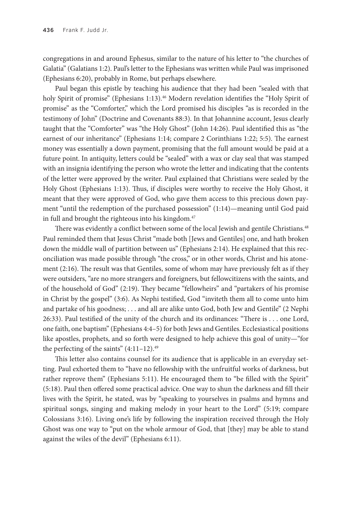congregations in and around Ephesus, similar to the nature of his letter to "the churches of Galatia" (Galatians 1:2). Paul's letter to the Ephesians was written while Paul was imprisoned (Ephesians 6:20), probably in Rome, but perhaps elsewhere.

Paul began this epistle by teaching his audience that they had been "sealed with that holy Spirit of promise" (Ephesians 1:13).<sup>46</sup> Modern revelation identifies the "Holy Spirit of promise" as the "Comforter," which the Lord promised his disciples "as is recorded in the testimony of John" (Doctrine and Covenants 88:3). In that Johannine account, Jesus clearly taught that the "Comforter" was "the Holy Ghost" (John 14:26). Paul identified this as "the earnest of our inheritance" (Ephesians 1:14; compare 2 Corinthians 1:22; 5:5). The earnest money was essentially a down payment, promising that the full amount would be paid at a future point. In antiquity, letters could be "sealed" with a wax or clay seal that was stamped with an insignia identifying the person who wrote the letter and indicating that the contents of the letter were approved by the writer. Paul explained that Christians were sealed by the Holy Ghost (Ephesians 1:13). Thus, if disciples were worthy to receive the Holy Ghost, it meant that they were approved of God, who gave them access to this precious down payment "until the redemption of the purchased possession" (1:14)—meaning until God paid in full and brought the righteous into his kingdom.<sup>47</sup>

There was evidently a conflict between some of the local Jewish and gentile Christians.<sup>48</sup> Paul reminded them that Jesus Christ "made both [Jews and Gentiles] one, and hath broken down the middle wall of partition between us" (Ephesians 2:14). He explained that this reconciliation was made possible through "the cross," or in other words, Christ and his atonement (2:16). The result was that Gentiles, some of whom may have previously felt as if they were outsiders, "are no more strangers and foreigners, but fellowcitizens with the saints, and of the household of God" (2:19). They became "fellowheirs" and "partakers of his promise in Christ by the gospel" (3:6). As Nephi testified, God "inviteth them all to come unto him and partake of his goodness; . . . and all are alike unto God, both Jew and Gentile" (2 Nephi 26:33). Paul testified of the unity of the church and its ordinances: "There is . . . one Lord, one faith, one baptism" (Ephesians 4:4–5) for both Jews and Gentiles. Ecclesiastical positions like apostles, prophets, and so forth were designed to help achieve this goal of unity—"for the perfecting of the saints"  $(4:11-12).49$ 

This letter also contains counsel for its audience that is applicable in an everyday setting. Paul exhorted them to "have no fellowship with the unfruitful works of darkness, but rather reprove them" (Ephesians 5:11). He encouraged them to "be filled with the Spirit" (5:18). Paul then offered some practical advice. One way to shun the darkness and fill their lives with the Spirit, he stated, was by "speaking to yourselves in psalms and hymns and spiritual songs, singing and making melody in your heart to the Lord" (5:19; compare Colossians 3:16). Living one's life by following the inspiration received through the Holy Ghost was one way to "put on the whole armour of God, that [they] may be able to stand against the wiles of the devil" (Ephesians 6:11).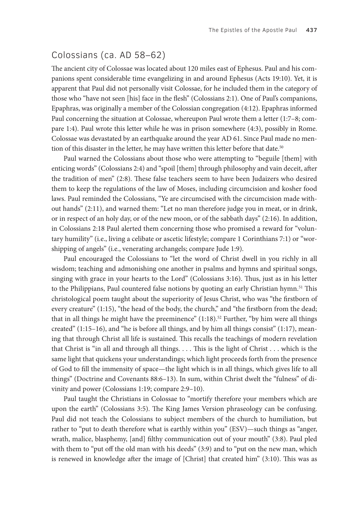## Colossians (ca. AD 58–62)

The ancient city of Colossae was located about 120 miles east of Ephesus. Paul and his companions spent considerable time evangelizing in and around Ephesus (Acts 19:10). Yet, it is apparent that Paul did not personally visit Colossae, for he included them in the category of those who "have not seen [his] face in the flesh" (Colossians 2:1). One of Paul's companions, Epaphras, was originally a member of the Colossian congregation (4:12). Epaphras informed Paul concerning the situation at Colossae, whereupon Paul wrote them a letter (1:7–8; compare 1:4). Paul wrote this letter while he was in prison somewhere (4:3), possibly in Rome. Colossae was devastated by an earthquake around the year AD 61. Since Paul made no mention of this disaster in the letter, he may have written this letter before that date.<sup>50</sup>

Paul warned the Colossians about those who were attempting to "beguile [them] with enticing words" (Colossians 2:4) and "spoil [them] through philosophy and vain deceit, after the tradition of men" (2:8). These false teachers seem to have been Judaizers who desired them to keep the regulations of the law of Moses, including circumcision and kosher food laws. Paul reminded the Colossians, "Ye are circumcised with the circumcision made without hands" (2:11), and warned them: "Let no man therefore judge you in meat, or in drink, or in respect of an holy day, or of the new moon, or of the sabbath days" (2:16). In addition, in Colossians 2:18 Paul alerted them concerning those who promised a reward for "voluntary humility" (i.e., living a celibate or ascetic lifestyle; compare 1 Corinthians 7:1) or "worshipping of angels" (i.e., venerating archangels; compare Jude 1:9).

Paul encouraged the Colossians to "let the word of Christ dwell in you richly in all wisdom; teaching and admonishing one another in psalms and hymns and spiritual songs, singing with grace in your hearts to the Lord" (Colossians 3:16). Thus, just as in his letter to the Philippians, Paul countered false notions by quoting an early Christian hymn.<sup>51</sup> This christological poem taught about the superiority of Jesus Christ, who was "the firstborn of every creature" (1:15), "the head of the body, the church," and "the firstborn from the dead; that in all things he might have the preeminence"  $(1:18).$ <sup>52</sup> Further, "by him were all things created" (1:15–16), and "he is before all things, and by him all things consist" (1:17), meaning that through Christ all life is sustained. This recalls the teachings of modern revelation that Christ is "in all and through all things. . . . This is the light of Christ . . . which is the same light that quickens your understandings; which light proceeds forth from the presence of God to fill the immensity of space—the light which is in all things, which gives life to all things" (Doctrine and Covenants 88:6–13). In sum, within Christ dwelt the "fulness" of divinity and power (Colossians 1:19; compare 2:9–10).

Paul taught the Christians in Colossae to "mortify therefore your members which are upon the earth" (Colossians 3:5). The King James Version phraseology can be confusing. Paul did not teach the Colossians to subject members of the church to humiliation, but rather to "put to death therefore what is earthly within you" (ESV)—such things as "anger, wrath, malice, blasphemy, [and] filthy communication out of your mouth" (3:8). Paul pled with them to "put off the old man with his deeds" (3:9) and to "put on the new man, which is renewed in knowledge after the image of [Christ] that created him" (3:10). This was as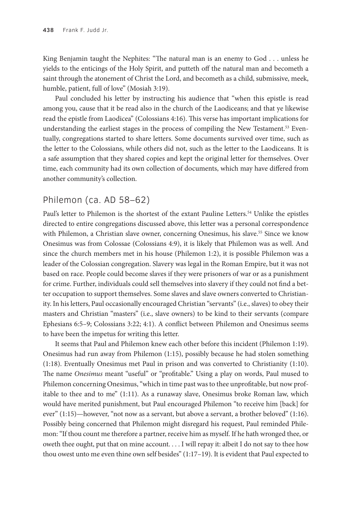King Benjamin taught the Nephites: "The natural man is an enemy to God . . . unless he yields to the enticings of the Holy Spirit, and putteth off the natural man and becometh a saint through the atonement of Christ the Lord, and becometh as a child, submissive, meek, humble, patient, full of love" (Mosiah 3:19).

Paul concluded his letter by instructing his audience that "when this epistle is read among you, cause that it be read also in the church of the Laodiceans; and that ye likewise read the epistle from Laodicea" (Colossians 4:16). This verse has important implications for understanding the earliest stages in the process of compiling the New Testament.<sup>53</sup> Eventually, congregations started to share letters. Some documents survived over time, such as the letter to the Colossians, while others did not, such as the letter to the Laodiceans. It is a safe assumption that they shared copies and kept the original letter for themselves. Over time, each community had its own collection of documents, which may have differed from another community's collection.

### Philemon (ca. AD 58–62)

Paul's letter to Philemon is the shortest of the extant Pauline Letters.<sup>54</sup> Unlike the epistles directed to entire congregations discussed above, this letter was a personal correspondence with Philemon, a Christian slave owner, concerning Onesimus, his slave.<sup>55</sup> Since we know Onesimus was from Colossae (Colossians 4:9), it is likely that Philemon was as well. And since the church members met in his house (Philemon 1:2), it is possible Philemon was a leader of the Colossian congregation. Slavery was legal in the Roman Empire, but it was not based on race. People could become slaves if they were prisoners of war or as a punishment for crime. Further, individuals could sell themselves into slavery if they could not find a better occupation to support themselves. Some slaves and slave owners converted to Christianity. In his letters, Paul occasionally encouraged Christian "servants" (i.e., slaves) to obey their masters and Christian "masters" (i.e., slave owners) to be kind to their servants (compare Ephesians 6:5–9; Colossians 3:22; 4:1). A conflict between Philemon and Onesimus seems to have been the impetus for writing this letter.

It seems that Paul and Philemon knew each other before this incident (Philemon 1:19). Onesimus had run away from Philemon (1:15), possibly because he had stolen something (1:18). Eventually Onesimus met Paul in prison and was converted to Christianity (1:10). The name *Onesimus* meant "useful" or "profitable." Using a play on words, Paul mused to Philemon concerning Onesimus, "which in time past was to thee unprofitable, but now profitable to thee and to me" (1:11). As a runaway slave, Onesimus broke Roman law, which would have merited punishment, but Paul encouraged Philemon "to receive him [back] for ever" (1:15)—however, "not now as a servant, but above a servant, a brother beloved" (1:16). Possibly being concerned that Philemon might disregard his request, Paul reminded Philemon: "If thou count me therefore a partner, receive him as myself. If he hath wronged thee, or oweth thee ought, put that on mine account. . . . I will repay it: albeit I do not say to thee how thou owest unto me even thine own self besides" (1:17–19). It is evident that Paul expected to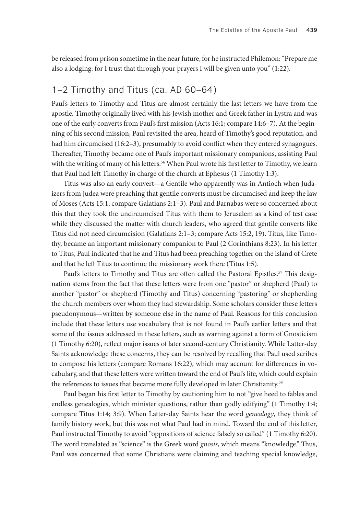be released from prison sometime in the near future, for he instructed Philemon: "Prepare me also a lodging: for I trust that through your prayers I will be given unto you" (1:22).

#### 1–2 Timothy and Titus (ca. AD 60–64)

Paul's letters to Timothy and Titus are almost certainly the last letters we have from the apostle. Timothy originally lived with his Jewish mother and Greek father in Lystra and was one of the early converts from Paul's first mission (Acts 16:1; compare 14:6–7). At the beginning of his second mission, Paul revisited the area, heard of Timothy's good reputation, and had him circumcised (16:2–3), presumably to avoid conflict when they entered synagogues. Thereafter, Timothy became one of Paul's important missionary companions, assisting Paul with the writing of many of his letters.<sup>56</sup> When Paul wrote his first letter to Timothy, we learn that Paul had left Timothy in charge of the church at Ephesus (1 Timothy 1:3).

Titus was also an early convert—a Gentile who apparently was in Antioch when Judaizers from Judea were preaching that gentile converts must be circumcised and keep the law of Moses (Acts 15:1; compare Galatians 2:1–3). Paul and Barnabas were so concerned about this that they took the uncircumcised Titus with them to Jerusalem as a kind of test case while they discussed the matter with church leaders, who agreed that gentile converts like Titus did not need circumcision (Galatians 2:1–3; compare Acts 15:2, 19). Titus, like Timothy, became an important missionary companion to Paul (2 Corinthians 8:23). In his letter to Titus, Paul indicated that he and Titus had been preaching together on the island of Crete and that he left Titus to continue the missionary work there (Titus 1:5).

Paul's letters to Timothy and Titus are often called the Pastoral Epistles.<sup>57</sup> This designation stems from the fact that these letters were from one "pastor" or shepherd (Paul) to another "pastor" or shepherd (Timothy and Titus) concerning "pastoring" or shepherding the church members over whom they had stewardship. Some scholars consider these letters pseudonymous—written by someone else in the name of Paul. Reasons for this conclusion include that these letters use vocabulary that is not found in Paul's earlier letters and that some of the issues addressed in these letters, such as warning against a form of Gnosticism (1 Timothy 6:20), reflect major issues of later second-century Christianity. While Latter-day Saints acknowledge these concerns, they can be resolved by recalling that Paul used scribes to compose his letters (compare Romans 16:22), which may account for differences in vocabulary, and that these letters were written toward the end of Paul's life, which could explain the references to issues that became more fully developed in later Christianity.<sup>58</sup>

Paul began his first letter to Timothy by cautioning him to not "give heed to fables and endless genealogies, which minister questions, rather than godly edifying" (1 Timothy 1:4; compare Titus 1:14; 3:9). When Latter-day Saints hear the word *genealogy*, they think of family history work, but this was not what Paul had in mind. Toward the end of this letter, Paul instructed Timothy to avoid "oppositions of science falsely so called" (1 Timothy 6:20). The word translated as "science" is the Greek word *gnosis*, which means "knowledge." Thus, Paul was concerned that some Christians were claiming and teaching special knowledge,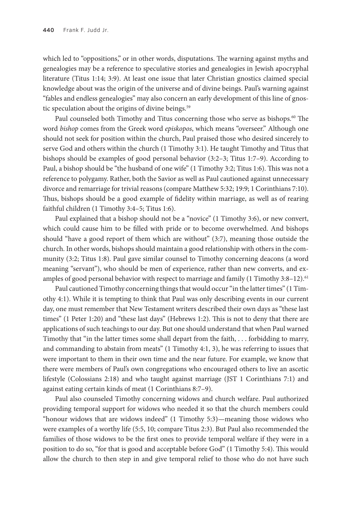which led to "oppositions," or in other words, disputations. The warning against myths and genealogies may be a reference to speculative stories and genealogies in Jewish apocryphal literature (Titus 1:14; 3:9). At least one issue that later Christian gnostics claimed special knowledge about was the origin of the universe and of divine beings. Paul's warning against "fables and endless genealogies" may also concern an early development of this line of gnostic speculation about the origins of divine beings.<sup>59</sup>

Paul counseled both Timothy and Titus concerning those who serve as bishops.<sup>60</sup> The word *bishop* comes from the Greek word *episkopos*, which means "overseer." Although one should not seek for position within the church, Paul praised those who desired sincerely to serve God and others within the church (1 Timothy 3:1). He taught Timothy and Titus that bishops should be examples of good personal behavior (3:2–3; Titus 1:7–9). According to Paul, a bishop should be "the husband of one wife" (1 Timothy 3:2; Titus 1:6). This was not a reference to polygamy. Rather, both the Savior as well as Paul cautioned against unnecessary divorce and remarriage for trivial reasons (compare Matthew 5:32; 19:9; 1 Corinthians 7:10). Thus, bishops should be a good example of fidelity within marriage, as well as of rearing faithful children (1 Timothy 3:4–5; Titus 1:6).

Paul explained that a bishop should not be a "novice" (1 Timothy 3:6), or new convert, which could cause him to be filled with pride or to become overwhelmed. And bishops should "have a good report of them which are without" (3:7), meaning those outside the church. In other words, bishops should maintain a good relationship with others in the community (3:2; Titus 1:8). Paul gave similar counsel to Timothy concerning deacons (a word meaning "servant"), who should be men of experience, rather than new converts, and examples of good personal behavior with respect to marriage and family (1 Timothy 3:8-12).<sup>61</sup>

Paul cautioned Timothy concerning things that would occur "in the latter times" (1 Timothy 4:1). While it is tempting to think that Paul was only describing events in our current day, one must remember that New Testament writers described their own days as "these last times" (1 Peter 1:20) and "these last days" (Hebrews 1:2). This is not to deny that there are applications of such teachings to our day. But one should understand that when Paul warned Timothy that "in the latter times some shall depart from the faith, . . . forbidding to marry, and commanding to abstain from meats" (1 Timothy 4:1, 3), he was referring to issues that were important to them in their own time and the near future. For example, we know that there were members of Paul's own congregations who encouraged others to live an ascetic lifestyle (Colossians 2:18) and who taught against marriage (JST 1 Corinthians 7:1) and against eating certain kinds of meat (1 Corinthians 8:7–9).

Paul also counseled Timothy concerning widows and church welfare. Paul authorized providing temporal support for widows who needed it so that the church members could "honour widows that are widows indeed" (1 Timothy 5:3)—meaning those widows who were examples of a worthy life (5:5, 10; compare Titus 2:3). But Paul also recommended the families of those widows to be the first ones to provide temporal welfare if they were in a position to do so, "for that is good and acceptable before God" (1 Timothy 5:4). This would allow the church to then step in and give temporal relief to those who do not have such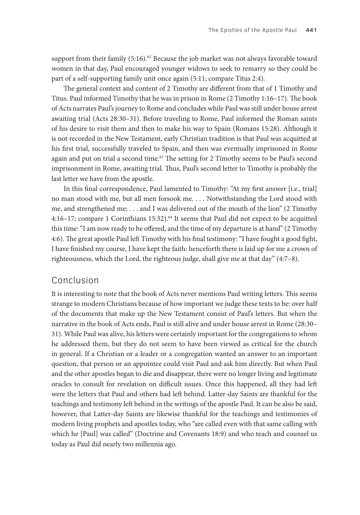support from their family  $(5:16)^{.62}$  Because the job market was not always favorable toward women in that day, Paul encouraged younger widows to seek to remarry so they could be part of a self-supporting family unit once again (5:11; compare Titus 2:4).

The general context and content of 2 Timothy are different from that of 1 Timothy and Titus. Paul informed Timothy that he was in prison in Rome (2 Timothy 1:16–17). The book of Acts narrates Paul's journey to Rome and concludes while Paul was still under house arrest awaiting trial (Acts 28:30–31). Before traveling to Rome, Paul informed the Roman saints of his desire to visit them and then to make his way to Spain (Romans 15:28). Although it is not recorded in the New Testament, early Christian tradition is that Paul was acquitted at his first trial, successfully traveled to Spain, and then was eventually imprisoned in Rome again and put on trial a second time.<sup>63</sup> The setting for 2 Timothy seems to be Paul's second imprisonment in Rome, awaiting trial. Thus, Paul's second letter to Timothy is probably the last letter we have from the apostle.

In this final correspondence, Paul lamented to Timothy: "At my first answer [i.e., trial] no man stood with me, but all men forsook me. . . . Notwithstanding the Lord stood with me, and strengthened me; . . . and I was delivered out of the mouth of the lion" (2 Timothy 4:16-17; compare 1 Corinthians 15:32).<sup>64</sup> It seems that Paul did not expect to be acquitted this time: "I am now ready to be offered, and the time of my departure is at hand" (2 Timothy 4:6). The great apostle Paul left Timothy with his final testimony: "I have fought a good fight, I have finished my course, I have kept the faith: henceforth there is laid up for me a crown of righteousness, which the Lord, the righteous judge, shall give me at that day" (4:7–8).

#### Conclusion

It is interesting to note that the book of Acts never mentions Paul writing letters. This seems strange to modern Christians because of how important we judge these texts to be: over half of the documents that make up the New Testament consist of Paul's letters. But when the narrative in the book of Acts ends, Paul is still alive and under house arrest in Rome (28:30– 31). While Paul was alive, his letters were certainly important for the congregations to whom he addressed them, but they do not seem to have been viewed as critical for the church in general. If a Christian or a leader or a congregation wanted an answer to an important question, that person or an appointee could visit Paul and ask him directly. But when Paul and the other apostles began to die and disappear, there were no longer living and legitimate oracles to consult for revelation on difficult issues. Once this happened, all they had left were the letters that Paul and others had left behind. Latter-day Saints are thankful for the teachings and testimony left behind in the writings of the apostle Paul. It can be also be said, however, that Latter-day Saints are likewise thankful for the teachings and testimonies of modern living prophets and apostles today, who "are called even with that same calling with which he [Paul] was called" (Doctrine and Covenants 18:9) and who teach and counsel us today as Paul did nearly two millennia ago.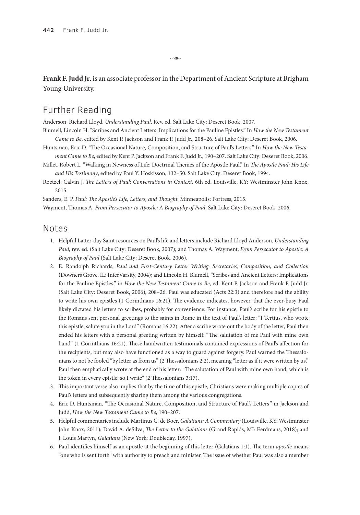**Frank F. Judd Jr**. is an associate professor in the Department of Ancient Scripture at Brigham Young University.

ىھە

# Further Reading

Anderson, Richard Lloyd. *Understanding Paul*. Rev. ed. Salt Lake City: Deseret Book, 2007.

Blumell, Lincoln H. "Scribes and Ancient Letters: Implications for the Pauline Epistles." In *How the New Testament Came to Be*, edited by Kent P. Jackson and Frank F. Judd Jr., 208–26. Salt Lake City: Deseret Book, 2006.

- Huntsman, Eric D. "The Occasional Nature, Composition, and Structure of Paul's Letters." In *How the New Testament Came to Be*, edited by Kent P. Jackson and Frank F. Judd Jr., 190–207. Salt Lake City: Deseret Book, 2006.
- Millet, Robert L. "Walking in Newness of Life: Doctrinal Themes of the Apostle Paul." In *The Apostle Paul: His Life and His Testimony*, edited by Paul Y. Hoskisson, 132–50. Salt Lake City: Deseret Book, 1994.
- Roetzel, Calvin J. *The Letters of Paul: Conversations in Context*. 6th ed. Louisville, KY: Westminster John Knox, 2015.

Sanders, E. P. *Paul: The Apostle's Life, Letters, and Thought*. Minneapolis: Fortress, 2015.

Wayment, Thomas A. *From Persecutor to Apostle: A Biography of Paul*. Salt Lake City: Deseret Book, 2006.

#### Notes

- 1. Helpful Latter-day Saint resources on Paul's life and letters include Richard Lloyd Anderson, *Understanding Paul*, rev. ed. (Salt Lake City: Deseret Book, 2007); and Thomas A. Wayment, *From Persecutor to Apostle: A Biography of Paul* (Salt Lake City: Deseret Book, 2006).
- 2. E. Randolph Richards, *Paul and First-Century Letter Writing: Secretaries, Composition, and Collection* (Downers Grove, IL: InterVarsity, 2004); and Lincoln H. Blumell, "Scribes and Ancient Letters: Implications for the Pauline Epistles," in *How the New Testament Came to Be*, ed. Kent P. Jackson and Frank F. Judd Jr. (Salt Lake City: Deseret Book, 2006), 208–26. Paul was educated (Acts 22:3) and therefore had the ability to write his own epistles (1 Corinthians 16:21). The evidence indicates, however, that the ever-busy Paul likely dictated his letters to scribes, probably for convenience. For instance, Paul's scribe for his epistle to the Romans sent personal greetings to the saints in Rome in the text of Paul's letter: "I Tertius, who wrote this epistle, salute you in the Lord" (Romans 16:22). After a scribe wrote out the body of the letter, Paul then ended his letters with a personal greeting written by himself: "The salutation of me Paul with mine own hand" (1 Corinthians 16:21). These handwritten testimonials contained expressions of Paul's affection for the recipients, but may also have functioned as a way to guard against forgery. Paul warned the Thessalonians to not be fooled "by letter as from us" (2 Thessalonians 2:2), meaning "letter as if it were written by us." Paul then emphatically wrote at the end of his letter: "The salutation of Paul with mine own hand, which is the token in every epistle: so I write" (2 Thessalonians 3:17).
- 3. This important verse also implies that by the time of this epistle, Christians were making multiple copies of Paul's letters and subsequently sharing them among the various congregations.
- 4. Eric D. Huntsman, "The Occasional Nature, Composition, and Structure of Paul's Letters," in Jackson and Judd, *How the New Testament Came to Be*, 190–207.
- 5. Helpful commentaries include Martinus C. de Boer, *Galatians: A Commentary* (Louisville, KY: Westminster John Knox, 2011); David A. deSilva, *The Letter to the Galatians* (Grand Rapids, MI: Eerdmans, 2018); and J. Louis Martyn, *Galatians* (New York: Doubleday, 1997).
- 6. Paul identifies himself as an apostle at the beginning of this letter (Galatians 1:1). The term *apostle* means "one who is sent forth" with authority to preach and minister. The issue of whether Paul was also a member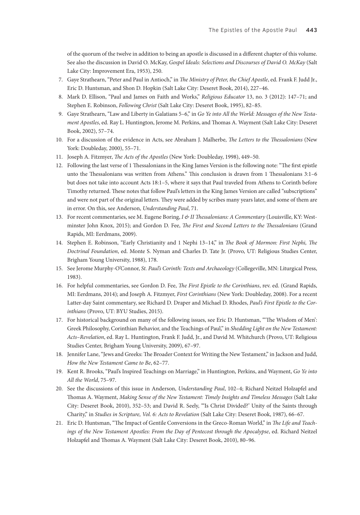of the quorum of the twelve in addition to being an apostle is discussed in a different chapter of this volume. See also the discussion in David O. McKay, *Gospel Ideals: Selections and Discourses of David O. McKay* (Salt Lake City: Improvement Era, 1953), 250.

- 7. Gaye Strathearn, "Peter and Paul in Antioch," in *The Ministry of Peter, the Chief Apostle*, ed. Frank F. Judd Jr., Eric D. Huntsman, and Shon D. Hopkin (Salt Lake City: Deseret Book, 2014), 227–46.
- 8. Mark D. Ellison, "Paul and James on Faith and Works," *Religious Educator* 13, no. 3 (2012): 147–71; and Stephen E. Robinson, *Following Christ* (Salt Lake City: Deseret Book, 1995), 82–85.
- 9. Gaye Strathearn, "Law and Liberty in Galatians 5–6," in *Go Ye into All the World: Messages of the New Testament Apostles*, ed. Ray L. Huntington, Jerome M. Perkins, and Thomas A. Wayment (Salt Lake City: Deseret Book, 2002), 57–74.
- 10. For a discussion of the evidence in Acts, see Abraham J. Malherbe, *The Letters to the Thessalonians* (New York: Doubleday, 2000), 55–71.
- 11. Joseph A. Fitzmyer, *The Acts of the Apostles* (New York: Doubleday, 1998), 449–50.
- 12. Following the last verse of 1 Thessalonians in the King James Version is the following note: "The first epistle unto the Thessalonians was written from Athens." This conclusion is drawn from 1 Thessalonians 3:1–6 but does not take into account Acts 18:1–5, where it says that Paul traveled from Athens to Corinth before Timothy returned. These notes that follow Paul's letters in the King James Version are called "subscriptions" and were not part of the original letters. They were added by scribes many years later, and some of them are in error. On this, see Anderson, *Understanding Paul*, 71.
- 13. For recent commentaries, see M. Eugene Boring, *I & II Thessalonians: A Commentary* (Louisville, KY: Westminster John Knox, 2015); and Gordon D. Fee, *The First and Second Letters to the Thessalonians* (Grand Rapids, MI: Eerdmans, 2009).
- 14. Stephen E. Robinson, "Early Christianity and 1 Nephi 13–14," in *The Book of Mormon: First Nephi, The Doctrinal Foundation*, ed. Monte S. Nyman and Charles D. Tate Jr. (Provo, UT: Religious Studies Center, Brigham Young University, 1988), 178.
- 15. See Jerome Murphy-O'Connor, *St. Paul's Corinth: Texts and Archaeology* (Collegeville, MN: Liturgical Press, 1983).
- 16. For helpful commentaries, see Gordon D. Fee, *The First Epistle to the Corinthians*, rev. ed. (Grand Rapids, MI: Eerdmans, 2014); and Joseph A. Fitzmyer, *First Corinthians* (New York: Doubleday, 2008). For a recent Latter-day Saint commentary, see Richard D. Draper and Michael D. Rhodes, *Paul's First Epistle to the Corinthians* (Provo, UT: BYU Studies, 2015).
- 17. For historical background on many of the following issues, see Eric D. Huntsman, "'The Wisdom of Men': Greek Philosophy, Corinthian Behavior, and the Teachings of Paul," in *Shedding Light on the New Testament: Acts–Revelation*, ed. Ray L. Huntington, Frank F. Judd, Jr., and David M. Whitchurch (Provo, UT: Religious Studies Center, Brigham Young University, 2009), 67–97.
- 18. Jennifer Lane, "Jews and Greeks: The Broader Context for Writing the New Testament," in Jackson and Judd, *How the New Testament Came to Be*, 62–77.
- 19. Kent R. Brooks, "Paul's Inspired Teachings on Marriage," in Huntington, Perkins, and Wayment, *Go Ye into All the World*, 75–97.
- 20. See the discussions of this issue in Anderson, *Understanding Paul*, 102–4; Richard Neitzel Holzapfel and Thomas A. Wayment, *Making Sense of the New Testament: Timely Insights and Timeless Messages* (Salt Lake City: Deseret Book, 2010), 352–53; and David R. Seely, "'Is Christ Divided?' Unity of the Saints through Charity," in *Studies in Scripture, Vol. 6: Acts to Revelation* (Salt Lake City: Deseret Book, 1987), 66–67.
- 21. Eric D. Huntsman, "The Impact of Gentile Conversions in the Greco-Roman World," in *The Life and Teachings of the New Testament Apostles: From the Day of Pentecost through the Apocalypse*, ed. Richard Neitzel Holzapfel and Thomas A. Wayment (Salt Lake City: Deseret Book, 2010), 80–96.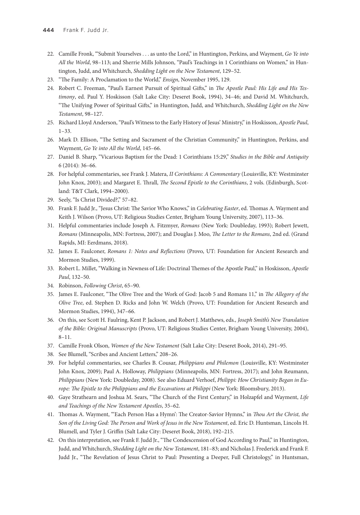- 22. Camille Fronk, "'Submit Yourselves . . . as unto the Lord," in Huntington, Perkins, and Wayment, *Go Ye into All the World*, 98–113; and Sherrie Mills Johnson, "Paul's Teachings in 1 Corinthians on Women," in Huntington, Judd, and Whitchurch, *Shedding Light on the New Testament*, 129–52.
- 23. "The Family: A Proclamation to the World," *Ensign*, November 1995, 129.
- 24. Robert C. Freeman, "Paul's Earnest Pursuit of Spiritual Gifts," in *The Apostle Paul: His Life and His Testimony*, ed. Paul Y. Hoskisson (Salt Lake City: Deseret Book, 1994), 34–46; and David M. Whitchurch, "The Unifying Power of Spiritual Gifts," in Huntington, Judd, and Whitchurch, *Shedding Light on the New Testament*, 98–127.
- 25. Richard Lloyd Anderson, "Paul's Witness to the Early History of Jesus' Ministry," in Hoskisson, *Apostle Paul*, 1–33.
- 26. Mark D. Ellison, "The Setting and Sacrament of the Christian Community," in Huntington, Perkins, and Wayment, *Go Ye into All the World*, 145–66.
- 27. Daniel B. Sharp, "Vicarious Baptism for the Dead: 1 Corinthians 15:29," *Studies in the Bible and Antiquity* 6 (2014): 36–66.
- 28. For helpful commentaries, see Frank J. Matera, *II Corinthians: A Commentary* (Louisville, KY: Westminster John Knox, 2003); and Margaret E. Thrall, *The Second Epistle to the Corinthians*, 2 vols. (Edinburgh, Scotland: T&T Clark, 1994–2000).
- 29. Seely, "Is Christ Divided?," 57–82.
- 30. Frank F. Judd Jr., "Jesus Christ: The Savior Who Knows," in *Celebrating Easter*, ed. Thomas A. Wayment and Keith J. Wilson (Provo, UT: Religious Studies Center, Brigham Young University, 2007), 113–36.
- 31. Helpful commentaries include Joseph A. Fitzmyer, *Romans* (New York: Doubleday, 1993); Robert Jewett, *Romans* (Minneapolis, MN: Fortress, 2007); and Douglas J. Moo, *The Letter to the Romans*, 2nd ed. (Grand Rapids, MI: Eerdmans, 2018).
- 32. James E. Faulconer, *Romans 1: Notes and Reflections* (Provo, UT: Foundation for Ancient Research and Mormon Studies, 1999).
- 33. Robert L. Millet, "Walking in Newness of Life: Doctrinal Themes of the Apostle Paul," in Hoskisson, *Apostle Paul*, 132–50.
- 34. Robinson, *Following Christ*, 65–90.
- 35. James E. Faulconer, "The Olive Tree and the Work of God: Jacob 5 and Romans 11," in *The Allegory of the Olive Tree*, ed. Stephen D. Ricks and John W. Welch (Provo, UT: Foundation for Ancient Research and Mormon Studies, 1994), 347–66.
- 36. On this, see Scott H. Faulring, Kent P. Jackson, and Robert J. Matthews, eds*., Joseph Smith's New Translation of the Bible: Original Manuscripts* (Provo, UT: Religious Studies Center, Brigham Young University, 2004), 8–11.
- 37. Camille Fronk Olson, *Women of the New Testament* (Salt Lake City: Deseret Book, 2014), 291–95.
- 38. See Blumell, "Scribes and Ancient Letters," 208–26.
- 39. For helpful commentaries, see Charles B. Cousar, *Philippians and Philemon* (Louisville, KY: Westminster John Knox, 2009); Paul A. Holloway, *Philippians* (Minneapolis, MN: Fortress, 2017); and John Reumann, *Philippians* (New York: Doubleday, 2008). See also Eduard Verhoef, *Philippi: How Christianity Began in Europe: The Epistle to the Philippians and the Excavations at Philippi* (New York: Bloomsbury, 2013).
- 40. Gaye Strathearn and Joshua M. Sears, "The Church of the First Century," in Holzapfel and Wayment, *Life and Teachings of the New Testament Apostles*, 35–62.
- 41. Thomas A. Wayment, "'Each Person Has a Hymn': The Creator-Savior Hymns," in *Thou Art the Christ, the Son of the Living God: The Person and Work of Jesus in the New Testament*, ed. Eric D. Huntsman, Lincoln H. Blumell, and Tyler J. Griffin (Salt Lake City: Deseret Book, 2018), 192–215.
- 42. On this interpretation, see Frank F. Judd Jr., "The Condescension of God According to Paul," in Huntington, Judd, and Whitchurch, *Shedding Light on the New Testament*, 181–83; and Nicholas J. Frederick and Frank F. Judd Jr., "The Revelation of Jesus Christ to Paul: Presenting a Deeper, Full Christology," in Huntsman,